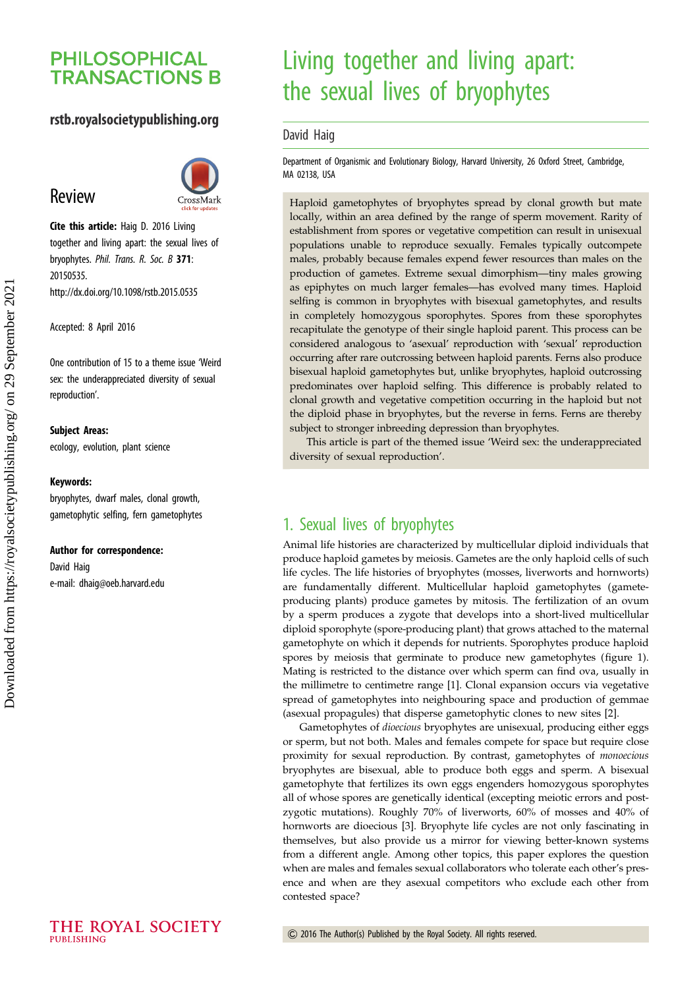# **PHILOSOPHICAL TRANSACTIONS B**

#### rstb.royalsocietypublishing.org

# Review



Cite this article: Haig D. 2016 Living together and living apart: the sexual lives of bryophytes. Phil. Trans. R. Soc. B 371: 20150535. http://dx.doi.org/10.1098/rstb.2015.0535

Accepted: 8 April 2016

One contribution of 15 to a theme issue '[Weird](http://dx.doi.org/10.1098/rstb/371/1706) [sex: the underappreciated diversity of sexual](http://dx.doi.org/10.1098/rstb/371/1706) [reproduction'.](http://dx.doi.org/10.1098/rstb/371/1706)

#### Subject Areas:

ecology, evolution, plant science

#### Keywords:

bryophytes, dwarf males, clonal growth, gametophytic selfing, fern gametophytes

#### Author for correspondence:

David Haig e-mail: [dhaig@oeb.harvard.edu](mailto:dhaig@oeb.harvard.edu)

# Living together and living apart: the sexual lives of bryophytes

#### David Haig

Department of Organismic and Evolutionary Biology, Harvard University, 26 Oxford Street, Cambridge, MA 02138, USA

Haploid gametophytes of bryophytes spread by clonal growth but mate locally, within an area defined by the range of sperm movement. Rarity of establishment from spores or vegetative competition can result in unisexual populations unable to reproduce sexually. Females typically outcompete males, probably because females expend fewer resources than males on the production of gametes. Extreme sexual dimorphism—tiny males growing as epiphytes on much larger females—has evolved many times. Haploid selfing is common in bryophytes with bisexual gametophytes, and results in completely homozygous sporophytes. Spores from these sporophytes recapitulate the genotype of their single haploid parent. This process can be considered analogous to 'asexual' reproduction with 'sexual' reproduction occurring after rare outcrossing between haploid parents. Ferns also produce bisexual haploid gametophytes but, unlike bryophytes, haploid outcrossing predominates over haploid selfing. This difference is probably related to clonal growth and vegetative competition occurring in the haploid but not the diploid phase in bryophytes, but the reverse in ferns. Ferns are thereby subject to stronger inbreeding depression than bryophytes.

This article is part of the themed issue 'Weird sex: the underappreciated diversity of sexual reproduction'.

# 1. Sexual lives of bryophytes

Animal life histories are characterized by multicellular diploid individuals that produce haploid gametes by meiosis. Gametes are the only haploid cells of such life cycles. The life histories of bryophytes (mosses, liverworts and hornworts) are fundamentally different. Multicellular haploid gametophytes (gameteproducing plants) produce gametes by mitosis. The fertilization of an ovum by a sperm produces a zygote that develops into a short-lived multicellular diploid sporophyte (spore-producing plant) that grows attached to the maternal gametophyte on which it depends for nutrients. Sporophytes produce haploid spores by meiosis that germinate to produce new gametophytes ([figure 1\)](#page-1-0). Mating is restricted to the distance over which sperm can find ova, usually in the millimetre to centimetre range [[1](#page-6-0)]. Clonal expansion occurs via vegetative spread of gametophytes into neighbouring space and production of gemmae (asexual propagules) that disperse gametophytic clones to new sites [[2](#page-6-0)].

Gametophytes of dioecious bryophytes are unisexual, producing either eggs or sperm, but not both. Males and females compete for space but require close proximity for sexual reproduction. By contrast, gametophytes of monoecious bryophytes are bisexual, able to produce both eggs and sperm. A bisexual gametophyte that fertilizes its own eggs engenders homozygous sporophytes all of whose spores are genetically identical (excepting meiotic errors and postzygotic mutations). Roughly 70% of liverworts, 60% of mosses and 40% of hornworts are dioecious [\[3\]](#page-6-0). Bryophyte life cycles are not only fascinating in themselves, but also provide us a mirror for viewing better-known systems from a different angle. Among other topics, this paper explores the question when are males and females sexual collaborators who tolerate each other's presence and when are they asexual competitors who exclude each other from contested space?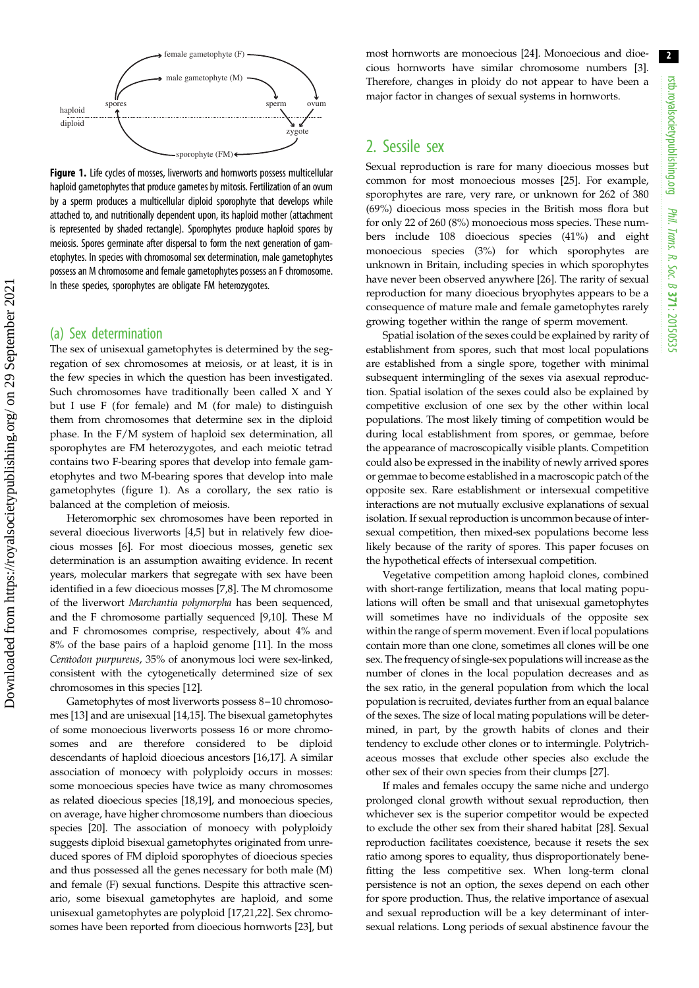<span id="page-1-0"></span>

Figure 1. Life cycles of mosses, liverworts and hornworts possess multicellular haploid gametophytes that produce gametes by mitosis. Fertilization of an ovum by a sperm produces a multicellular diploid sporophyte that develops while attached to, and nutritionally dependent upon, its haploid mother (attachment is represented by shaded rectangle). Sporophytes produce haploid spores by meiosis. Spores germinate after dispersal to form the next generation of gametophytes. In species with chromosomal sex determination, male gametophytes possess an M chromosome and female gametophytes possess an F chromosome. In these species, sporophytes are obligate FM heterozygotes.

#### (a) Sex determination

The sex of unisexual gametophytes is determined by the segregation of sex chromosomes at meiosis, or at least, it is in the few species in which the question has been investigated. Such chromosomes have traditionally been called X and Y but I use F (for female) and M (for male) to distinguish them from chromosomes that determine sex in the diploid phase. In the F/M system of haploid sex determination, all sporophytes are FM heterozygotes, and each meiotic tetrad contains two F-bearing spores that develop into female gametophytes and two M-bearing spores that develop into male gametophytes (figure 1). As a corollary, the sex ratio is balanced at the completion of meiosis.

Heteromorphic sex chromosomes have been reported in several dioecious liverworts [\[4,5](#page-6-0)] but in relatively few dioecious mosses [[6](#page-6-0)]. For most dioecious mosses, genetic sex determination is an assumption awaiting evidence. In recent years, molecular markers that segregate with sex have been identified in a few dioecious mosses [\[7,8](#page-6-0)]. The M chromosome of the liverwort Marchantia polymorpha has been sequenced, and the F chromosome partially sequenced [\[9,10\]](#page-6-0). These M and F chromosomes comprise, respectively, about 4% and 8% of the base pairs of a haploid genome [[11\]](#page-6-0). In the moss Ceratodon purpureus, 35% of anonymous loci were sex-linked, consistent with the cytogenetically determined size of sex chromosomes in this species [[12](#page-6-0)].

Gametophytes of most liverworts possess 8–10 chromosomes [\[13](#page-6-0)] and are unisexual [\[14](#page-6-0),[15](#page-6-0)]. The bisexual gametophytes of some monoecious liverworts possess 16 or more chromosomes and are therefore considered to be diploid descendants of haploid dioecious ancestors [[16,17\]](#page-6-0). A similar association of monoecy with polyploidy occurs in mosses: some monoecious species have twice as many chromosomes as related dioecious species [\[18,19](#page-6-0)], and monoecious species, on average, have higher chromosome numbers than dioecious species [[20\]](#page-6-0). The association of monoecy with polyploidy suggests diploid bisexual gametophytes originated from unreduced spores of FM diploid sporophytes of dioecious species and thus possessed all the genes necessary for both male (M) and female (F) sexual functions. Despite this attractive scenario, some bisexual gametophytes are haploid, and some unisexual gametophytes are polyploid [[17,21,22](#page-6-0)]. Sex chromosomes have been reported from dioecious hornworts [[23\]](#page-6-0), but most hornworts are monoecious [[24](#page-6-0)]. Monoecious and dioecious hornworts have similar chromosome numbers [\[3\]](#page-6-0). Therefore, changes in ploidy do not appear to have been a major factor in changes of sexual systems in hornworts.

#### 2. Sessile sex

Sexual reproduction is rare for many dioecious mosses but common for most monoecious mosses [\[25](#page-6-0)]. For example, sporophytes are rare, very rare, or unknown for 262 of 380 (69%) dioecious moss species in the British moss flora but for only 22 of 260 (8%) monoecious moss species. These numbers include 108 dioecious species (41%) and eight monoecious species (3%) for which sporophytes are unknown in Britain, including species in which sporophytes have never been observed anywhere [\[26](#page-6-0)]. The rarity of sexual reproduction for many dioecious bryophytes appears to be a consequence of mature male and female gametophytes rarely growing together within the range of sperm movement.

Spatial isolation of the sexes could be explained by rarity of establishment from spores, such that most local populations are established from a single spore, together with minimal subsequent intermingling of the sexes via asexual reproduction. Spatial isolation of the sexes could also be explained by competitive exclusion of one sex by the other within local populations. The most likely timing of competition would be during local establishment from spores, or gemmae, before the appearance of macroscopically visible plants. Competition could also be expressed in the inability of newly arrived spores or gemmae to become established in a macroscopic patch of the opposite sex. Rare establishment or intersexual competitive interactions are not mutually exclusive explanations of sexual isolation. If sexual reproduction is uncommon because of intersexual competition, then mixed-sex populations become less likely because of the rarity of spores. This paper focuses on the hypothetical effects of intersexual competition.

Vegetative competition among haploid clones, combined with short-range fertilization, means that local mating populations will often be small and that unisexual gametophytes will sometimes have no individuals of the opposite sex within the range of sperm movement. Even if local populations contain more than one clone, sometimes all clones will be one sex. The frequency of single-sex populations will increase as the number of clones in the local population decreases and as the sex ratio, in the general population from which the local population is recruited, deviates further from an equal balance of the sexes. The size of local mating populations will be determined, in part, by the growth habits of clones and their tendency to exclude other clones or to intermingle. Polytrichaceous mosses that exclude other species also exclude the other sex of their own species from their clumps [\[27](#page-6-0)].

If males and females occupy the same niche and undergo prolonged clonal growth without sexual reproduction, then whichever sex is the superior competitor would be expected to exclude the other sex from their shared habitat [[28\]](#page-6-0). Sexual reproduction facilitates coexistence, because it resets the sex ratio among spores to equality, thus disproportionately benefitting the less competitive sex. When long-term clonal persistence is not an option, the sexes depend on each other for spore production. Thus, the relative importance of asexual and sexual reproduction will be a key determinant of intersexual relations. Long periods of sexual abstinence favour the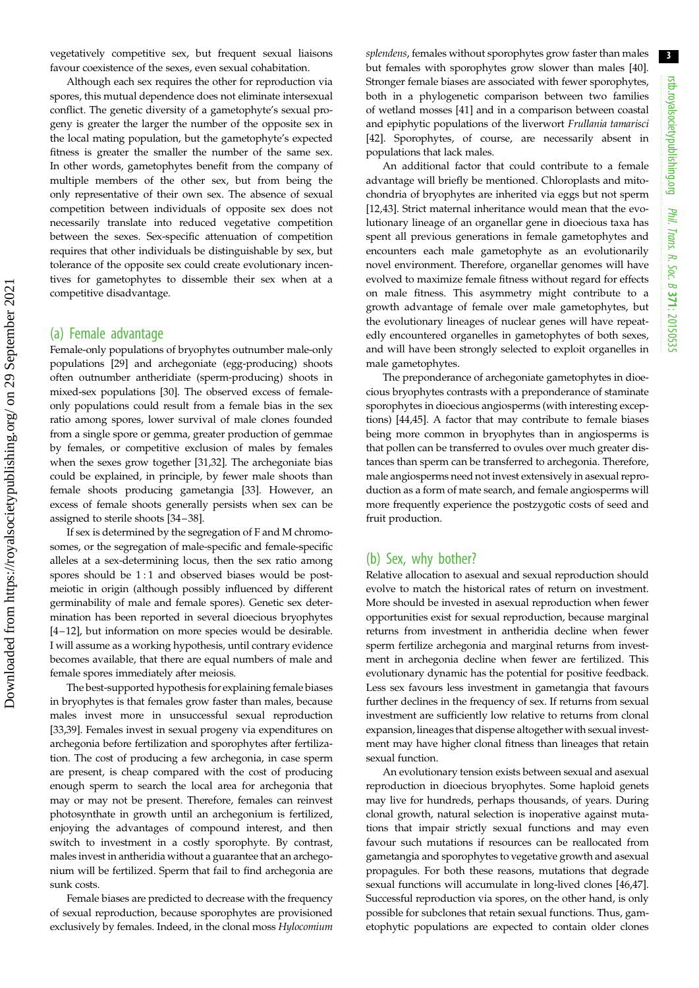vegetatively competitive sex, but frequent sexual liaisons favour coexistence of the sexes, even sexual cohabitation.

Although each sex requires the other for reproduction via spores, this mutual dependence does not eliminate intersexual conflict. The genetic diversity of a gametophyte's sexual progeny is greater the larger the number of the opposite sex in the local mating population, but the gametophyte's expected fitness is greater the smaller the number of the same sex. In other words, gametophytes benefit from the company of multiple members of the other sex, but from being the only representative of their own sex. The absence of sexual competition between individuals of opposite sex does not necessarily translate into reduced vegetative competition between the sexes. Sex-specific attenuation of competition requires that other individuals be distinguishable by sex, but tolerance of the opposite sex could create evolutionary incentives for gametophytes to dissemble their sex when at a competitive disadvantage.

#### (a) Female advantage

Female-only populations of bryophytes outnumber male-only populations [\[29](#page-6-0)] and archegoniate (egg-producing) shoots often outnumber antheridiate (sperm-producing) shoots in mixed-sex populations [\[30](#page-6-0)]. The observed excess of femaleonly populations could result from a female bias in the sex ratio among spores, lower survival of male clones founded from a single spore or gemma, greater production of gemmae by females, or competitive exclusion of males by females when the sexes grow together [[31,32\]](#page-6-0). The archegoniate bias could be explained, in principle, by fewer male shoots than female shoots producing gametangia [[33\]](#page-6-0). However, an excess of female shoots generally persists when sex can be assigned to sterile shoots [\[34](#page-6-0)–[38](#page-7-0)].

If sex is determined by the segregation of F and M chromosomes, or the segregation of male-specific and female-specific alleles at a sex-determining locus, then the sex ratio among spores should be 1:1 and observed biases would be postmeiotic in origin (although possibly influenced by different germinability of male and female spores). Genetic sex determination has been reported in several dioecious bryophytes [\[4](#page-6-0)–[12](#page-6-0)], but information on more species would be desirable. I will assume as a working hypothesis, until contrary evidence becomes available, that there are equal numbers of male and female spores immediately after meiosis.

The best-supported hypothesis for explaining female biases in bryophytes is that females grow faster than males, because males invest more in unsuccessful sexual reproduction [\[33](#page-6-0)[,39](#page-7-0)]. Females invest in sexual progeny via expenditures on archegonia before fertilization and sporophytes after fertilization. The cost of producing a few archegonia, in case sperm are present, is cheap compared with the cost of producing enough sperm to search the local area for archegonia that may or may not be present. Therefore, females can reinvest photosynthate in growth until an archegonium is fertilized, enjoying the advantages of compound interest, and then switch to investment in a costly sporophyte. By contrast, males invest in antheridia without a guarantee that an archegonium will be fertilized. Sperm that fail to find archegonia are sunk costs.

Female biases are predicted to decrease with the frequency of sexual reproduction, because sporophytes are provisioned exclusively by females. Indeed, in the clonal moss Hylocomium

splendens, females without sporophytes grow faster than males but females with sporophytes grow slower than males [[40\]](#page-7-0). Stronger female biases are associated with fewer sporophytes, both in a phylogenetic comparison between two families of wetland mosses [\[41](#page-7-0)] and in a comparison between coastal and epiphytic populations of the liverwort Frullania tamarisci [[42\]](#page-7-0). Sporophytes, of course, are necessarily absent in populations that lack males.

An additional factor that could contribute to a female advantage will briefly be mentioned. Chloroplasts and mitochondria of bryophytes are inherited via eggs but not sperm [[12,](#page-6-0)[43\]](#page-7-0). Strict maternal inheritance would mean that the evolutionary lineage of an organellar gene in dioecious taxa has spent all previous generations in female gametophytes and encounters each male gametophyte as an evolutionarily novel environment. Therefore, organellar genomes will have evolved to maximize female fitness without regard for effects on male fitness. This asymmetry might contribute to a growth advantage of female over male gametophytes, but the evolutionary lineages of nuclear genes will have repeatedly encountered organelles in gametophytes of both sexes, and will have been strongly selected to exploit organelles in male gametophytes.

The preponderance of archegoniate gametophytes in dioecious bryophytes contrasts with a preponderance of staminate sporophytes in dioecious angiosperms (with interesting exceptions) [\[44,45](#page-7-0)]. A factor that may contribute to female biases being more common in bryophytes than in angiosperms is that pollen can be transferred to ovules over much greater distances than sperm can be transferred to archegonia. Therefore, male angiosperms need not invest extensively in asexual reproduction as a form of mate search, and female angiosperms will more frequently experience the postzygotic costs of seed and fruit production.

#### (b) Sex, why bother?

Relative allocation to asexual and sexual reproduction should evolve to match the historical rates of return on investment. More should be invested in asexual reproduction when fewer opportunities exist for sexual reproduction, because marginal returns from investment in antheridia decline when fewer sperm fertilize archegonia and marginal returns from investment in archegonia decline when fewer are fertilized. This evolutionary dynamic has the potential for positive feedback. Less sex favours less investment in gametangia that favours further declines in the frequency of sex. If returns from sexual investment are sufficiently low relative to returns from clonal expansion, lineages that dispense altogether with sexual investment may have higher clonal fitness than lineages that retain sexual function.

An evolutionary tension exists between sexual and asexual reproduction in dioecious bryophytes. Some haploid genets may live for hundreds, perhaps thousands, of years. During clonal growth, natural selection is inoperative against mutations that impair strictly sexual functions and may even favour such mutations if resources can be reallocated from gametangia and sporophytes to vegetative growth and asexual propagules. For both these reasons, mutations that degrade sexual functions will accumulate in long-lived clones [[46,47\]](#page-7-0). Successful reproduction via spores, on the other hand, is only possible for subclones that retain sexual functions. Thus, gametophytic populations are expected to contain older clones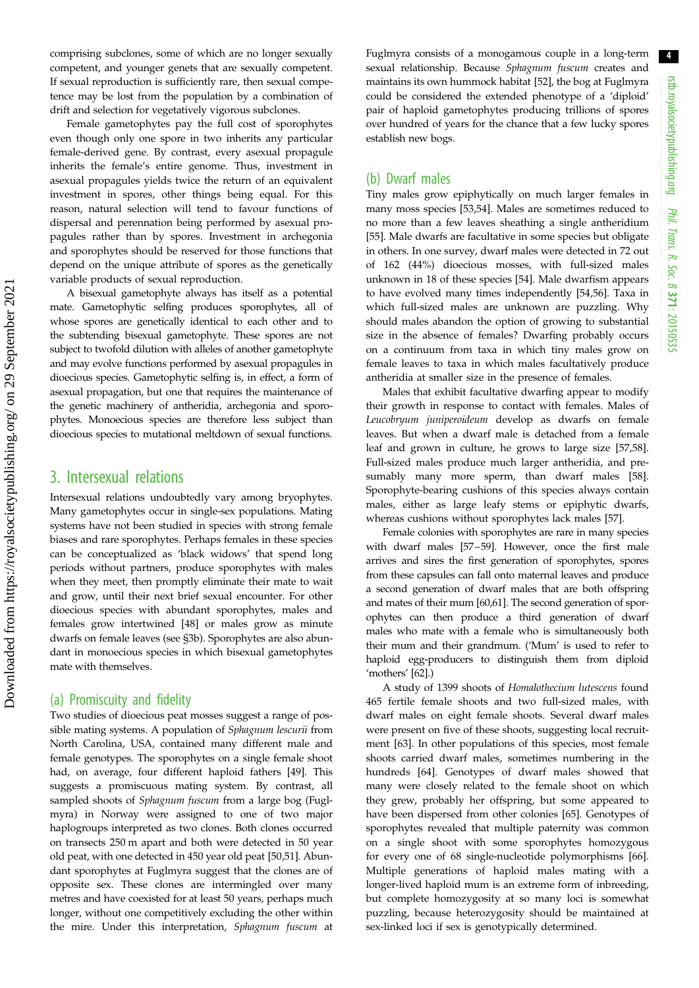4

comprising subclones, some of which are no longer sexually competent, and younger genets that are sexually competent. If sexual reproduction is sufficiently rare, then sexual competence may be lost from the population by a combination of drift and selection for vegetatively vigorous subclones.

Female gametophytes pay the full cost of sporophytes even though only one spore in two inherits any particular female-derived gene. By contrast, every asexual propagule inherits the female's entire genome. Thus, investment in asexual propagules yields twice the return of an equivalent investment in spores, other things being equal. For this reason, natural selection will tend to favour functions of dispersal and perennation being performed by asexual propagules rather than by spores. Investment in archegonia and sporophytes should be reserved for those functions that depend on the unique attribute of spores as the genetically variable products of sexual reproduction.

A bisexual gametophyte always has itself as a potential mate. Gametophytic selfing produces sporophytes, all of whose spores are genetically identical to each other and to the subtending bisexual gametophyte. These spores are not subject to twofold dilution with alleles of another gametophyte and may evolve functions performed by asexual propagules in dioecious species. Gametophytic selfing is, in effect, a form of asexual propagation, but one that requires the maintenance of the genetic machinery of antheridia, archegonia and sporophytes. Monoecious species are therefore less subject than dioecious species to mutational meltdown of sexual functions.

#### 3. Intersexual relations

Intersexual relations undoubtedly vary among bryophytes. Many gametophytes occur in single-sex populations. Mating systems have not been studied in species with strong female biases and rare sporophytes. Perhaps females in these species can be conceptualized as 'black widows' that spend long periods without partners, produce sporophytes with males when they meet, then promptly eliminate their mate to wait and grow, until their next brief sexual encounter. For other dioecious species with abundant sporophytes, males and females grow intertwined [\[48](#page-7-0)] or males grow as minute dwarfs on female leaves (see §3b). Sporophytes are also abundant in monoecious species in which bisexual gametophytes mate with themselves.

#### (a) Promiscuity and fidelity

Two studies of dioecious peat mosses suggest a range of possible mating systems. A population of Sphagnum lescurii from North Carolina, USA, contained many different male and female genotypes. The sporophytes on a single female shoot had, on average, four different haploid fathers [[49](#page-7-0)]. This suggests a promiscuous mating system. By contrast, all sampled shoots of Sphagnum fuscum from a large bog (Fuglmyra) in Norway were assigned to one of two major haplogroups interpreted as two clones. Both clones occurred on transects 250 m apart and both were detected in 50 year old peat, with one detected in 450 year old peat [\[50,51](#page-7-0)]. Abundant sporophytes at Fuglmyra suggest that the clones are of opposite sex. These clones are intermingled over many metres and have coexisted for at least 50 years, perhaps much longer, without one competitively excluding the other within the mire. Under this interpretation, Sphagnum fuscum at Fuglmyra consists of a monogamous couple in a long-term sexual relationship. Because Sphagnum fuscum creates and maintains its own hummock habitat [[52\]](#page-7-0), the bog at Fuglmyra could be considered the extended phenotype of a 'diploid' pair of haploid gametophytes producing trillions of spores over hundred of years for the chance that a few lucky spores establish new bogs.

#### (b) Dwarf males

Tiny males grow epiphytically on much larger females in many moss species [[53,54\]](#page-7-0). Males are sometimes reduced to no more than a few leaves sheathing a single antheridium [[55\]](#page-7-0). Male dwarfs are facultative in some species but obligate in others. In one survey, dwarf males were detected in 72 out of 162 (44%) dioecious mosses, with full-sized males unknown in 18 of these species [[54\]](#page-7-0). Male dwarfism appears to have evolved many times independently [[54,56](#page-7-0)]. Taxa in which full-sized males are unknown are puzzling. Why should males abandon the option of growing to substantial size in the absence of females? Dwarfing probably occurs on a continuum from taxa in which tiny males grow on female leaves to taxa in which males facultatively produce antheridia at smaller size in the presence of females.

Males that exhibit facultative dwarfing appear to modify their growth in response to contact with females. Males of Leucobryum juniperoideum develop as dwarfs on female leaves. But when a dwarf male is detached from a female leaf and grown in culture, he grows to large size [\[57](#page-7-0),[58\]](#page-7-0). Full-sized males produce much larger antheridia, and presumably many more sperm, than dwarf males [[58\]](#page-7-0). Sporophyte-bearing cushions of this species always contain males, either as large leafy stems or epiphytic dwarfs, whereas cushions without sporophytes lack males [\[57](#page-7-0)].

Female colonies with sporophytes are rare in many species with dwarf males [[57](#page-7-0)–[59](#page-7-0)]. However, once the first male arrives and sires the first generation of sporophytes, spores from these capsules can fall onto maternal leaves and produce a second generation of dwarf males that are both offspring and mates of their mum [[60,61](#page-7-0)]. The second generation of sporophytes can then produce a third generation of dwarf males who mate with a female who is simultaneously both their mum and their grandmum. ('Mum' is used to refer to haploid egg-producers to distinguish them from diploid 'mothers' [\[62\]](#page-7-0).)

A study of 1399 shoots of Homalothecium lutescens found 465 fertile female shoots and two full-sized males, with dwarf males on eight female shoots. Several dwarf males were present on five of these shoots, suggesting local recruitment [[63\]](#page-7-0). In other populations of this species, most female shoots carried dwarf males, sometimes numbering in the hundreds [[64\]](#page-7-0). Genotypes of dwarf males showed that many were closely related to the female shoot on which they grew, probably her offspring, but some appeared to have been dispersed from other colonies [[65\]](#page-7-0). Genotypes of sporophytes revealed that multiple paternity was common on a single shoot with some sporophytes homozygous for every one of 68 single-nucleotide polymorphisms [[66\]](#page-7-0). Multiple generations of haploid males mating with a longer-lived haploid mum is an extreme form of inbreeding, but complete homozygosity at so many loci is somewhat puzzling, because heterozygosity should be maintained at sex-linked loci if sex is genotypically determined.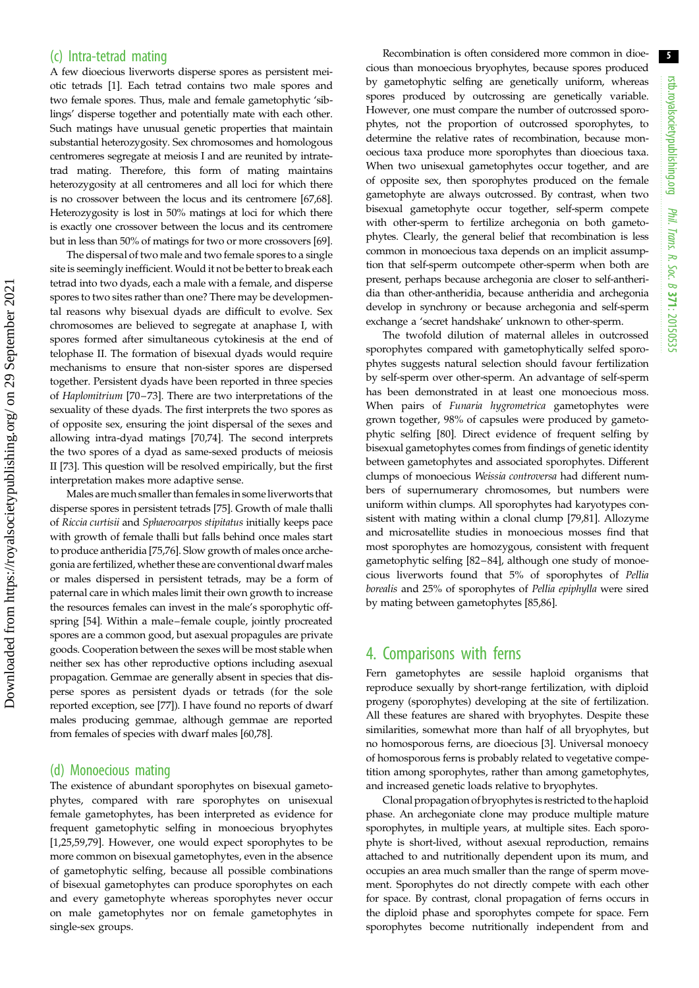# rstb.royalsocietypublishing.org Phil. Trans. R. Soc. B 371: 20150535

5

#### (c) Intra-tetrad mating

A few dioecious liverworts disperse spores as persistent meiotic tetrads [\[1](#page-6-0)]. Each tetrad contains two male spores and two female spores. Thus, male and female gametophytic 'siblings' disperse together and potentially mate with each other. Such matings have unusual genetic properties that maintain substantial heterozygosity. Sex chromosomes and homologous centromeres segregate at meiosis I and are reunited by intratetrad mating. Therefore, this form of mating maintains heterozygosity at all centromeres and all loci for which there is no crossover between the locus and its centromere [[67,68](#page-7-0)]. Heterozygosity is lost in 50% matings at loci for which there is exactly one crossover between the locus and its centromere but in less than 50% of matings for two or more crossovers [[69](#page-7-0)].

The dispersal of two male and two female spores to a single site is seemingly inefficient. Would it not be better to break each tetrad into two dyads, each a male with a female, and disperse spores to two sites rather than one? There may be developmental reasons why bisexual dyads are difficult to evolve. Sex chromosomes are believed to segregate at anaphase I, with spores formed after simultaneous cytokinesis at the end of telophase II. The formation of bisexual dyads would require mechanisms to ensure that non-sister spores are dispersed together. Persistent dyads have been reported in three species of Haplomitrium [\[70](#page-7-0)–[73](#page-7-0)]. There are two interpretations of the sexuality of these dyads. The first interprets the two spores as of opposite sex, ensuring the joint dispersal of the sexes and allowing intra-dyad matings [\[70,74](#page-7-0)]. The second interprets the two spores of a dyad as same-sexed products of meiosis II [[73\]](#page-7-0). This question will be resolved empirically, but the first interpretation makes more adaptive sense.

Males are much smaller than females in some liverworts that disperse spores in persistent tetrads [[75](#page-7-0)]. Growth of male thalli of Riccia curtisii and Sphaerocarpos stipitatus initially keeps pace with growth of female thalli but falls behind once males start to produce antheridia [[75](#page-7-0),[76](#page-7-0)]. Slow growth of males once archegonia are fertilized, whether these are conventional dwarf males or males dispersed in persistent tetrads, may be a form of paternal care in which males limit their own growth to increase the resources females can invest in the male's sporophytic offspring [[54](#page-7-0)]. Within a male– female couple, jointly procreated spores are a common good, but asexual propagules are private goods. Cooperation between the sexes will be most stable when neither sex has other reproductive options including asexual propagation. Gemmae are generally absent in species that disperse spores as persistent dyads or tetrads (for the sole reported exception, see [[77\]](#page-7-0)). I have found no reports of dwarf males producing gemmae, although gemmae are reported from females of species with dwarf males [[60](#page-7-0),[78](#page-7-0)].

#### (d) Monoecious mating

The existence of abundant sporophytes on bisexual gametophytes, compared with rare sporophytes on unisexual female gametophytes, has been interpreted as evidence for frequent gametophytic selfing in monoecious bryophytes [\[1,25](#page-6-0)[,59](#page-7-0),[79\]](#page-7-0). However, one would expect sporophytes to be more common on bisexual gametophytes, even in the absence of gametophytic selfing, because all possible combinations of bisexual gametophytes can produce sporophytes on each and every gametophyte whereas sporophytes never occur on male gametophytes nor on female gametophytes in single-sex groups.

Recombination is often considered more common in dioecious than monoecious bryophytes, because spores produced by gametophytic selfing are genetically uniform, whereas spores produced by outcrossing are genetically variable. However, one must compare the number of outcrossed sporophytes, not the proportion of outcrossed sporophytes, to determine the relative rates of recombination, because monoecious taxa produce more sporophytes than dioecious taxa. When two unisexual gametophytes occur together, and are of opposite sex, then sporophytes produced on the female gametophyte are always outcrossed. By contrast, when two bisexual gametophyte occur together, self-sperm compete with other-sperm to fertilize archegonia on both gametophytes. Clearly, the general belief that recombination is less common in monoecious taxa depends on an implicit assumption that self-sperm outcompete other-sperm when both are present, perhaps because archegonia are closer to self-antheridia than other-antheridia, because antheridia and archegonia develop in synchrony or because archegonia and self-sperm exchange a 'secret handshake' unknown to other-sperm.

The twofold dilution of maternal alleles in outcrossed sporophytes compared with gametophytically selfed sporophytes suggests natural selection should favour fertilization by self-sperm over other-sperm. An advantage of self-sperm has been demonstrated in at least one monoecious moss. When pairs of Funaria hygrometrica gametophytes were grown together, 98% of capsules were produced by gametophytic selfing [[80\]](#page-7-0). Direct evidence of frequent selfing by bisexual gametophytes comes from findings of genetic identity between gametophytes and associated sporophytes. Different clumps of monoecious Weissia controversa had different numbers of supernumerary chromosomes, but numbers were uniform within clumps. All sporophytes had karyotypes consistent with mating within a clonal clump [\[79,81](#page-7-0)]. Allozyme and microsatellite studies in monoecious mosses find that most sporophytes are homozygous, consistent with frequent gametophytic selfing [\[82](#page-7-0)–[84](#page-8-0)], although one study of monoecious liverworts found that 5% of sporophytes of Pellia borealis and 25% of sporophytes of Pellia epiphylla were sired by mating between gametophytes [[85,86\]](#page-8-0).

## 4. Comparisons with ferns

Fern gametophytes are sessile haploid organisms that reproduce sexually by short-range fertilization, with diploid progeny (sporophytes) developing at the site of fertilization. All these features are shared with bryophytes. Despite these similarities, somewhat more than half of all bryophytes, but no homosporous ferns, are dioecious [[3](#page-6-0)]. Universal monoecy of homosporous ferns is probably related to vegetative competition among sporophytes, rather than among gametophytes, and increased genetic loads relative to bryophytes.

Clonal propagation of bryophytes is restricted to the haploid phase. An archegoniate clone may produce multiple mature sporophytes, in multiple years, at multiple sites. Each sporophyte is short-lived, without asexual reproduction, remains attached to and nutritionally dependent upon its mum, and occupies an area much smaller than the range of sperm movement. Sporophytes do not directly compete with each other for space. By contrast, clonal propagation of ferns occurs in the diploid phase and sporophytes compete for space. Fern sporophytes become nutritionally independent from and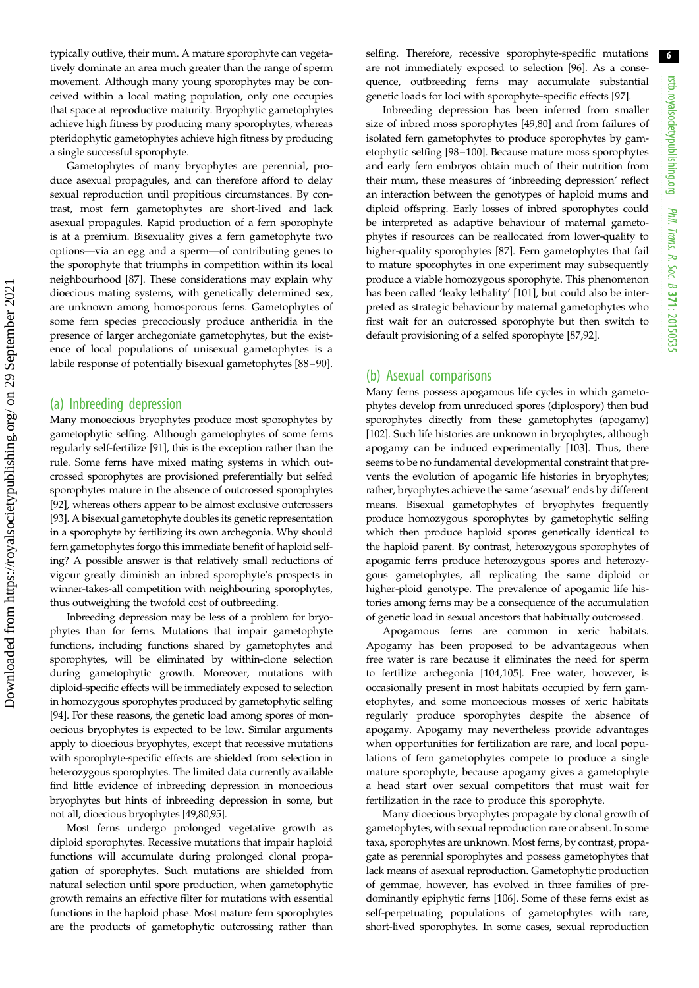6

typically outlive, their mum. A mature sporophyte can vegetatively dominate an area much greater than the range of sperm movement. Although many young sporophytes may be conceived within a local mating population, only one occupies that space at reproductive maturity. Bryophytic gametophytes achieve high fitness by producing many sporophytes, whereas pteridophytic gametophytes achieve high fitness by producing a single successful sporophyte.

Gametophytes of many bryophytes are perennial, produce asexual propagules, and can therefore afford to delay sexual reproduction until propitious circumstances. By contrast, most fern gametophytes are short-lived and lack asexual propagules. Rapid production of a fern sporophyte is at a premium. Bisexuality gives a fern gametophyte two options—via an egg and a sperm—of contributing genes to the sporophyte that triumphs in competition within its local neighbourhood [[87\]](#page-8-0). These considerations may explain why dioecious mating systems, with genetically determined sex, are unknown among homosporous ferns. Gametophytes of some fern species precociously produce antheridia in the presence of larger archegoniate gametophytes, but the existence of local populations of unisexual gametophytes is a labile response of potentially bisexual gametophytes [\[88](#page-8-0)-90].

#### (a) Inbreeding depression

Many monoecious bryophytes produce most sporophytes by gametophytic selfing. Although gametophytes of some ferns regularly self-fertilize [\[91](#page-8-0)], this is the exception rather than the rule. Some ferns have mixed mating systems in which outcrossed sporophytes are provisioned preferentially but selfed sporophytes mature in the absence of outcrossed sporophytes [\[92](#page-8-0)], whereas others appear to be almost exclusive outcrossers [\[93](#page-8-0)]. A bisexual gametophyte doubles its genetic representation in a sporophyte by fertilizing its own archegonia. Why should fern gametophytes forgo this immediate benefit of haploid selfing? A possible answer is that relatively small reductions of vigour greatly diminish an inbred sporophyte's prospects in winner-takes-all competition with neighbouring sporophytes, thus outweighing the twofold cost of outbreeding.

Inbreeding depression may be less of a problem for bryophytes than for ferns. Mutations that impair gametophyte functions, including functions shared by gametophytes and sporophytes, will be eliminated by within-clone selection during gametophytic growth. Moreover, mutations with diploid-specific effects will be immediately exposed to selection in homozygous sporophytes produced by gametophytic selfing [\[94\]](#page-8-0). For these reasons, the genetic load among spores of monoecious bryophytes is expected to be low. Similar arguments apply to dioecious bryophytes, except that recessive mutations with sporophyte-specific effects are shielded from selection in heterozygous sporophytes. The limited data currently available find little evidence of inbreeding depression in monoecious bryophytes but hints of inbreeding depression in some, but not all, dioecious bryophytes [\[49,80,](#page-7-0)[95\]](#page-8-0).

Most ferns undergo prolonged vegetative growth as diploid sporophytes. Recessive mutations that impair haploid functions will accumulate during prolonged clonal propagation of sporophytes. Such mutations are shielded from natural selection until spore production, when gametophytic growth remains an effective filter for mutations with essential functions in the haploid phase. Most mature fern sporophytes are the products of gametophytic outcrossing rather than selfing. Therefore, recessive sporophyte-specific mutations are not immediately exposed to selection [[96\]](#page-8-0). As a consequence, outbreeding ferns may accumulate substantial genetic loads for loci with sporophyte-specific effects [[97\]](#page-8-0).

Inbreeding depression has been inferred from smaller size of inbred moss sporophytes [[49,80\]](#page-7-0) and from failures of isolated fern gametophytes to produce sporophytes by gametophytic selfing [\[98](#page-8-0)–[100\]](#page-8-0). Because mature moss sporophytes and early fern embryos obtain much of their nutrition from their mum, these measures of 'inbreeding depression' reflect an interaction between the genotypes of haploid mums and diploid offspring. Early losses of inbred sporophytes could be interpreted as adaptive behaviour of maternal gametophytes if resources can be reallocated from lower-quality to higher-quality sporophytes [[87\]](#page-8-0). Fern gametophytes that fail to mature sporophytes in one experiment may subsequently produce a viable homozygous sporophyte. This phenomenon has been called 'leaky lethality' [\[101\]](#page-8-0), but could also be interpreted as strategic behaviour by maternal gametophytes who first wait for an outcrossed sporophyte but then switch to default provisioning of a selfed sporophyte [[87,92\]](#page-8-0).

#### (b) Asexual comparisons

Many ferns possess apogamous life cycles in which gametophytes develop from unreduced spores (diplospory) then bud sporophytes directly from these gametophytes (apogamy) [[102\]](#page-8-0). Such life histories are unknown in bryophytes, although apogamy can be induced experimentally [[103\]](#page-8-0). Thus, there seems to be no fundamental developmental constraint that prevents the evolution of apogamic life histories in bryophytes; rather, bryophytes achieve the same 'asexual' ends by different means. Bisexual gametophytes of bryophytes frequently produce homozygous sporophytes by gametophytic selfing which then produce haploid spores genetically identical to the haploid parent. By contrast, heterozygous sporophytes of apogamic ferns produce heterozygous spores and heterozygous gametophytes, all replicating the same diploid or higher-ploid genotype. The prevalence of apogamic life histories among ferns may be a consequence of the accumulation of genetic load in sexual ancestors that habitually outcrossed.

Apogamous ferns are common in xeric habitats. Apogamy has been proposed to be advantageous when free water is rare because it eliminates the need for sperm to fertilize archegonia [\[104,105\]](#page-8-0). Free water, however, is occasionally present in most habitats occupied by fern gametophytes, and some monoecious mosses of xeric habitats regularly produce sporophytes despite the absence of apogamy. Apogamy may nevertheless provide advantages when opportunities for fertilization are rare, and local populations of fern gametophytes compete to produce a single mature sporophyte, because apogamy gives a gametophyte a head start over sexual competitors that must wait for fertilization in the race to produce this sporophyte.

Many dioecious bryophytes propagate by clonal growth of gametophytes, with sexual reproduction rare or absent. In some taxa, sporophytes are unknown. Most ferns, by contrast, propagate as perennial sporophytes and possess gametophytes that lack means of asexual reproduction. Gametophytic production of gemmae, however, has evolved in three families of predominantly epiphytic ferns [[106\]](#page-8-0). Some of these ferns exist as self-perpetuating populations of gametophytes with rare, short-lived sporophytes. In some cases, sexual reproduction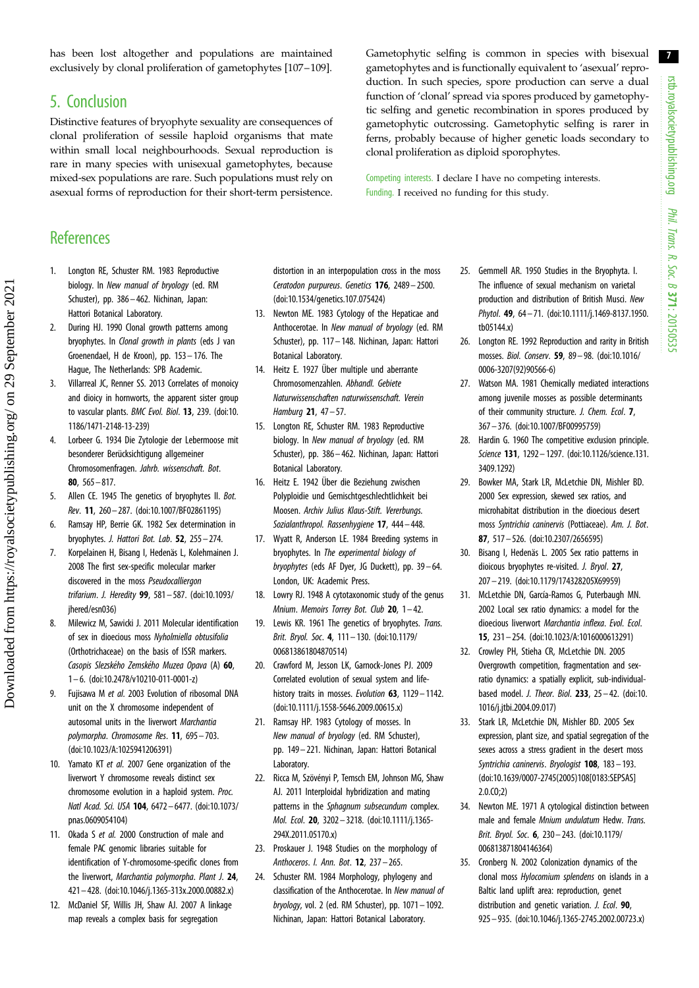rstb.royalsocietypublishing.org rstb.royalsocietypublishing.org Phil. Trans. R. Soc. B 371: 20150535

7

<span id="page-6-0"></span>has been lost altogether and populations are maintained exclusively by clonal proliferation of gametophytes [\[107](#page-8-0)–[109\]](#page-8-0).

## 5. Conclusion

Distinctive features of bryophyte sexuality are consequences of clonal proliferation of sessile haploid organisms that mate within small local neighbourhoods. Sexual reproduction is rare in many species with unisexual gametophytes, because mixed-sex populations are rare. Such populations must rely on asexual forms of reproduction for their short-term persistence.

# **References**

Downloaded from https://royalsocietypublishing.org/ on 29 September 2021

Downloaded from https://royalsocietypublishing.org/ on 29 September 2021

- 1. Longton RE, Schuster RM. 1983 Reproductive biology. In New manual of bryology (ed. RM Schuster), pp. 386– 462. Nichinan, Japan: Hattori Botanical Laboratory.
- 2. During HJ. 1990 Clonal growth patterns among bryophytes. In Clonal growth in plants (eds J van Groenendael, H de Kroon), pp. 153– 176. The Hague, The Netherlands: SPB Academic.
- 3. Villarreal JC, Renner SS. 2013 Correlates of monoicy and dioicy in hornworts, the apparent sister group to vascular plants. BMC Evol. Biol. 13, 239. ([doi:10.](http://dx.doi.org/10.1186/1471-2148-13-239) [1186/1471-2148-13-239](http://dx.doi.org/10.1186/1471-2148-13-239))
- 4. Lorbeer G. 1934 Die Zytologie der Lebermoose mit besonderer Berücksichtigung allgemeiner Chromosomenfragen. Jahrb. wissenschaft. Bot. 80, 565– 817.
- 5. Allen CE. 1945 The genetics of bryophytes II. Bot. Rev. 11, 260– 287. ([doi:10.1007/BF02861195](http://dx.doi.org/10.1007/BF02861195))
- 6. Ramsay HP, Berrie GK. 1982 Sex determination in bryophytes. J. Hattori Bot. Lab. 52, 255– 274.
- 7. Korpelainen H, Bisang I, Hedenäs L, Kolehmainen J. 2008 The first sex-specific molecular marker discovered in the moss Pseudocalliergon trifarium. J. Heredity 99, 581– 587. [\(doi:10.1093/](http://dx.doi.org/10.1093/jhered/esn036) ihered/esn036)
- 8. Milewicz M, Sawicki J. 2011 Molecular identification of sex in dioecious moss Nyholmiella obtusifolia (Orthotrichaceae) on the basis of ISSR markers. Casopis Slezského Zemského Muzea Opava (A) 60. 1– 6. [\(doi:10.2478/v10210-011-0001-z](http://dx.doi.org/10.2478/v10210-011-0001-z))
- 9. Fujisawa M et al. 2003 Evolution of ribosomal DNA unit on the X chromosome independent of autosomal units in the liverwort Marchantia polymorpha. Chromosome Res. 11, 695– 703. [\(doi:10.1023/A:1025941206391](http://dx.doi.org/10.1023/A:1025941206391))
- 10. Yamato KT et al. 2007 Gene organization of the liverwort Y chromosome reveals distinct sex chromosome evolution in a haploid system. Proc. Natl Acad. Sci. USA 104, 6472– 6477. ([doi:10.1073/](http://dx.doi.org/10.1073/pnas.0609054104) [pnas.0609054104](http://dx.doi.org/10.1073/pnas.0609054104))
- 11. Okada S et al. 2000 Construction of male and female PAC genomic libraries suitable for identification of Y-chromosome-specific clones from the liverwort, Marchantia polymorpha. Plant J. 24, 421– 428. ([doi:10.1046/j.1365-313x.2000.00882.x\)](http://dx.doi.org/10.1046/j.1365-313x.2000.00882.x)
- 12. McDaniel SF, Willis JH, Shaw AJ. 2007 A linkage map reveals a complex basis for segregation

distortion in an interpopulation cross in the moss Ceratodon purpureus. Genetics 176, 2489 – 2500. [\(doi:10.1534/genetics.107.075424\)](http://dx.doi.org/10.1534/genetics.107.075424)

- 13. Newton ME. 1983 Cytology of the Hepaticae and Anthocerotae. In New manual of bryology (ed. RM Schuster), pp. 117– 148. Nichinan, Japan: Hattori Botanical Laboratory.
- 14. Heitz E. 1927 Über multiple und aberrante Chromosomenzahlen. Abhandl. Gebiete Naturwissenschaften naturwissenschaft. Verein Hamburg **21**, 47 - 57.
- 15. Longton RE, Schuster RM. 1983 Reproductive biology. In New manual of bryology (ed. RM Schuster), pp. 386– 462. Nichinan, Japan: Hattori Botanical Laboratory.
- 16. Heitz E. 1942 Über die Beziehung zwischen Polyploidie und Gemischtgeschlechtlichkeit bei Moosen. Archiv Julius Klaus-Stift. Vererbungs. Sozialanthropol. Rassenhygiene 17, 444– 448.
- 17. Wyatt R, Anderson LE. 1984 Breeding systems in bryophytes. In The experimental biology of bryophytes (eds AF Dyer, JG Duckett), pp. 39 – 64. London, UK: Academic Press.
- 18. Lowry RJ. 1948 A cytotaxonomic study of the genus Mnium. Memoirs Torrey Bot. Club 20, 1-42.
- 19. Lewis KR. 1961 The genetics of bryophytes. Trans. Brit. Bryol. Soc. 4, 111– 130. ([doi:10.1179/](http://dx.doi.org/10.1179/006813861804870514) [006813861804870514\)](http://dx.doi.org/10.1179/006813861804870514)
- 20. Crawford M, Jesson LK, Garnock-Jones PJ. 2009 Correlated evolution of sexual system and lifehistory traits in mosses. Evolution 63, 1129 – 1142. [\(doi:10.1111/j.1558-5646.2009.00615.x\)](http://dx.doi.org/10.1111/j.1558-5646.2009.00615.x)
- 21. Ramsay HP. 1983 Cytology of mosses. In New manual of bryology (ed. RM Schuster), pp. 149– 221. Nichinan, Japan: Hattori Botanical Laboratory.
- 22. Ricca M, Szövényi P, Temsch EM, Johnson MG, Shaw AJ. 2011 Interploidal hybridization and mating patterns in the Sphagnum subsecundum complex. Mol. Ecol. 20, 3202– 3218. [\(doi:10.1111/j.1365-](http://dx.doi.org/10.1111/j.1365-294X.2011.05170.x) [294X.2011.05170.x\)](http://dx.doi.org/10.1111/j.1365-294X.2011.05170.x)
- 23. Proskauer J. 1948 Studies on the morphology of Anthoceros. I. Ann. Bot. **12**, 237 - 265.
- 24. Schuster RM. 1984 Morphology, phylogeny and classification of the Anthocerotae. In New manual of bryology, vol. 2 (ed. RM Schuster), pp. 1071 – 1092. Nichinan, Japan: Hattori Botanical Laboratory.

25. Gemmell AR. 1950 Studies in the Bryophyta. I. The influence of sexual mechanism on varietal production and distribution of British Musci. New Phytol. 49, 64-71. [\(doi:10.1111/j.1469-8137.1950.](http://dx.doi.org/10.1111/j.1469-8137.1950.tb05144.x) [tb05144.x](http://dx.doi.org/10.1111/j.1469-8137.1950.tb05144.x))

Gametophytic selfing is common in species with bisexual gametophytes and is functionally equivalent to 'asexual' repro-

clonal proliferation as diploid sporophytes.

Funding. I received no funding for this study.

Competing interests. I declare I have no competing interests.

- 26. Longton RE. 1992 Reproduction and rarity in British mosses. Biol. Conserv. 59, 89 – 98. ([doi:10.1016/](http://dx.doi.org/10.1016/0006-3207(92)90566-6) [0006-3207\(92\)90566-6](http://dx.doi.org/10.1016/0006-3207(92)90566-6))
- 27. Watson MA. 1981 Chemically mediated interactions among juvenile mosses as possible determinants of their community structure. J. Chem. Ecol. 7, 367– 376. [\(doi:10.1007/BF00995759](http://dx.doi.org/10.1007/BF00995759))
- 28. Hardin G. 1960 The competitive exclusion principle. Science 131, 1292– 1297. [\(doi:10.1126/science.131.](http://dx.doi.org/10.1126/science.131.3409.1292) [3409.1292](http://dx.doi.org/10.1126/science.131.3409.1292))
- 29. Bowker MA, Stark LR, McLetchie DN, Mishler BD. 2000 Sex expression, skewed sex ratios, and microhabitat distribution in the dioecious desert moss Syntrichia caninervis (Pottiaceae). Am. J. Bot. 87, 517 – 526. [\(doi:10.2307/2656595\)](http://dx.doi.org/10.2307/2656595)
- 30. Bisang I, Hedenäs L. 2005 Sex ratio patterns in dioicous bryophytes re-visited. J. Bryol. 27, 207– 219. [\(doi:10.1179/174328205X69959](http://dx.doi.org/10.1179/174328205X69959))
- 31. McLetchie DN, García-Ramos G, Puterbaugh MN. 2002 Local sex ratio dynamics: a model for the dioecious liverwort Marchantia inflexa. Evol. Ecol. 15, 231 – 254. [\(doi:10.1023/A:1016000613291](http://dx.doi.org/10.1023/A:1016000613291))
- 32. Crowley PH, Stieha CR, McLetchie DN. 2005 Overgrowth competition, fragmentation and sexratio dynamics: a spatially explicit, sub-individualbased model. J. Theor. Biol. 233, 25 – 42. ([doi:10.](http://dx.doi.org/10.1016/j.jtbi.2004.09.017) [1016/j.jtbi.2004.09.017\)](http://dx.doi.org/10.1016/j.jtbi.2004.09.017)
- 33. Stark LR, McLetchie DN, Mishler BD. 2005 Sex expression, plant size, and spatial segregation of the sexes across a stress gradient in the desert moss Syntrichia caninervis. Bryologist 108, 183 – 193. ([doi:10.1639/0007-2745\(2005\)108\[0183:SEPSAS\]](http://dx.doi.org/10.1639/0007-2745(2005)108[0183:SEPSAS]2.0.CO;2) [2.0.CO;2\)](http://dx.doi.org/10.1639/0007-2745(2005)108[0183:SEPSAS]2.0.CO;2)
- 34. Newton ME. 1971 A cytological distinction between male and female Mnium undulatum Hedw. Trans. Brit. Bryol. Soc. 6, 230 – 243. ([doi:10.1179/](http://dx.doi.org/10.1179/006813871804146364) [006813871804146364](http://dx.doi.org/10.1179/006813871804146364))
- 35. Cronberg N. 2002 Colonization dynamics of the clonal moss Hylocomium splendens on islands in a Baltic land uplift area: reproduction, genet distribution and genetic variation. J. Ecol. 90 925– 935. [\(doi:10.1046/j.1365-2745.2002.00723.x\)](http://dx.doi.org/10.1046/j.1365-2745.2002.00723.x)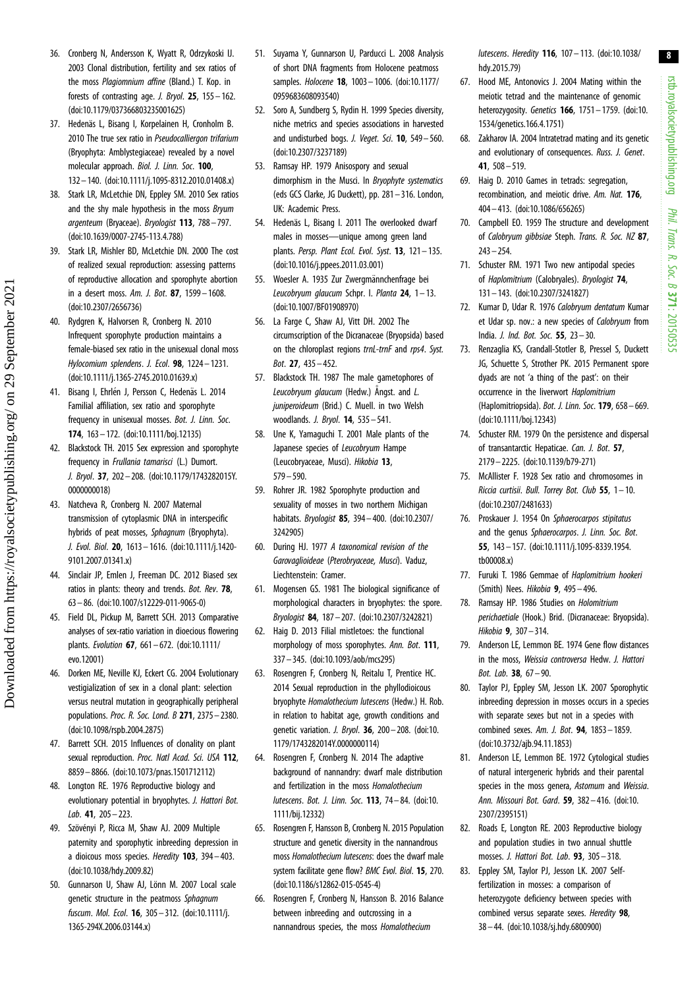- <span id="page-7-0"></span>36. Cronberg N, Andersson K, Wyatt R, Odrzykoski IJ. 2003 Clonal distribution, fertility and sex ratios of the moss Plagiomnium affine (Bland.) T. Kop. in forests of contrasting age. *J. Bryol*. **25**,  $155 - 162$ . [\(doi:10.1179/037366803235001625\)](http://dx.doi.org/10.1179/037366803235001625)
- 37. Hedenäs L, Bisang I, Korpelainen H, Cronholm B. 2010 The true sex ratio in Pseudocalliergon trifarium (Bryophyta: Amblystegiaceae) revealed by a novel molecular approach. Biol. J. Linn. Soc. 100, 132– 140. ([doi:10.1111/j.1095-8312.2010.01408.x](http://dx.doi.org/10.1111/j.1095-8312.2010.01408.x))
- 38. Stark LR, McLetchie DN, Eppley SM. 2010 Sex ratios and the shy male hypothesis in the moss Bryum argenteum (Bryaceae). Bryologist 113, 788 – 797. [\(doi:10.1639/0007-2745-113.4.788\)](http://dx.doi.org/10.1639/0007-2745-113.4.788)
- 39. Stark LR, Mishler BD, McLetchie DN. 2000 The cost of realized sexual reproduction: assessing patterns of reproductive allocation and sporophyte abortion in a desert moss. Am. J. Bot. 87, 1599 – 1608. [\(doi:10.2307/2656736\)](http://dx.doi.org/10.2307/2656736)
- 40. Rydgren K, Halvorsen R, Cronberg N. 2010 Infrequent sporophyte production maintains a female-biased sex ratio in the unisexual clonal moss Hylocomium splendens. J. Ecol. 98, 1224 – 1231. [\(doi:10.1111/j.1365-2745.2010.01639.x](http://dx.doi.org/10.1111/j.1365-2745.2010.01639.x))
- 41. Bisang I, Ehrlén J, Persson C, Hedenäs L. 2014 Familial affiliation, sex ratio and sporophyte frequency in unisexual mosses. Bot. J. Linn. Soc. 174, 163– 172. [\(doi:10.1111/boj.12135](http://dx.doi.org/10.1111/boj.12135))
- 42. Blackstock TH. 2015 Sex expression and sporophyte frequency in Frullania tamarisci (L.) Dumort. J. Bryol. 37, 202 – 208. ([doi:10.1179/1743282015Y.](http://dx.doi.org/10.1179/1743282015Y.0000000018) [0000000018\)](http://dx.doi.org/10.1179/1743282015Y.0000000018)
- 43. Natcheva R, Cronberg N. 2007 Maternal transmission of cytoplasmic DNA in interspecific hybrids of peat mosses, Sphagnum (Bryophyta). J. Evol. Biol. 20, 1613– 1616. ([doi:10.1111/j.1420-](http://dx.doi.org/10.1111/j.1420-9101.2007.01341.x) [9101.2007.01341.x](http://dx.doi.org/10.1111/j.1420-9101.2007.01341.x))
- 44. Sinclair JP, Emlen J, Freeman DC. 2012 Biased sex ratios in plants: theory and trends. Bot. Rev. 78, 63 – 86. ([doi:10.1007/s12229-011-9065-0](http://dx.doi.org/10.1007/s12229-011-9065-0))
- 45. Field DL, Pickup M, Barrett SCH. 2013 Comparative analyses of sex-ratio variation in dioecious flowering plants. Evolution 67, 661 – 672. ([doi:10.1111/](http://dx.doi.org/10.1111/evo.12001) [evo.12001](http://dx.doi.org/10.1111/evo.12001))
- 46. Dorken ME, Neville KJ, Eckert CG. 2004 Evolutionary vestigialization of sex in a clonal plant: selection versus neutral mutation in geographically peripheral populations. Proc. R. Soc. Lond. B 271, 2375– 2380. [\(doi:10.1098/rspb.2004.2875](http://dx.doi.org/10.1098/rspb.2004.2875))
- 47. Barrett SCH. 2015 Influences of clonality on plant sexual reproduction. Proc. Natl Acad. Sci. USA 112. 8859 – 8866. [\(doi:10.1073/pnas.1501712112](http://dx.doi.org/10.1073/pnas.1501712112))
- 48. Longton RE. 1976 Reproductive biology and evolutionary potential in bryophytes. J. Hattori Bot. Lab. 41, 205– 223.
- 49. Szövényi P, Ricca M, Shaw AJ. 2009 Multiple paternity and sporophytic inbreeding depression in a dioicous moss species. Heredity 103, 394 – 403. [\(doi:10.1038/hdy.2009.82\)](http://dx.doi.org/10.1038/hdy.2009.82)
- 50. Gunnarson U, Shaw AJ, Lönn M. 2007 Local scale genetic structure in the peatmoss Sphagnum fuscum. Mol. Ecol. 16, 305– 312. ([doi:10.1111/j.](http://dx.doi.org/10.1111/j.1365-294X.2006.03144.x) [1365-294X.2006.03144.x](http://dx.doi.org/10.1111/j.1365-294X.2006.03144.x))
- 51. Suyama Y, Gunnarson U, Parducci L. 2008 Analysis of short DNA fragments from Holocene peatmoss samples. Holocene 18, 1003– 1006. [\(doi:10.1177/](http://dx.doi.org/10.1177/0959683608093540) [0959683608093540\)](http://dx.doi.org/10.1177/0959683608093540)
- 52. Soro A, Sundberg S, Rydin H. 1999 Species diversity, niche metrics and species associations in harvested and undisturbed bogs. *J. Veget. Sci.* **10**, 549 - 560. [\(doi:10.2307/3237189](http://dx.doi.org/10.2307/3237189))
- 53. Ramsay HP. 1979 Anisospory and sexual dimorphism in the Musci. In Bryophyte systematics (eds GCS Clarke, JG Duckett), pp. 281 – 316. London, UK: Academic Press.
- 54. Hedenäs L, Bisang I. 2011 The overlooked dwarf males in mosses—unique among green land plants. Persp. Plant Ecol. Evol. Syst. 13, 121-135. [\(doi:10.1016/j.ppees.2011.03.001\)](http://dx.doi.org/10.1016/j.ppees.2011.03.001)
- 55. Woesler A. 1935 Zur Zwergmännchenfrage bei Leucobryum glaucum Schpr. I. Planta 24, 1– 13. [\(doi:10.1007/BF01908970](http://dx.doi.org/10.1007/BF01908970))
- 56. La Farge C, Shaw AJ, Vitt DH. 2002 The circumscription of the Dicranaceae (Bryopsida) based on the chloroplast regions trnL-trnF and rps4. Syst. Bot. 27, 435– 452.
- 57. Blackstock TH. 1987 The male gametophores of Leucobryum glaucum (Hedw.)  $\AA$ ngst. and L. juniperoideum (Brid.) C. Muell. in two Welsh woodlands. J. Bryol. 14, 535 – 541.
- 58. Une K, Yamaguchi T. 2001 Male plants of the Japanese species of Leucobrvum Hampe (Leucobryaceae, Musci). Hikobia 13, 579 – 590.
- 59. Rohrer JR. 1982 Sporophyte production and sexuality of mosses in two northern Michigan habitats. Bryologist 85, 394– 400. [\(doi:10.2307/](http://dx.doi.org/10.2307/3242905) [3242905\)](http://dx.doi.org/10.2307/3242905)
- 60. During HJ. 1977 A taxonomical revision of the Garovaglioideae (Pterobryaceae, Musci). Vaduz, Liechtenstein: Cramer.
- 61. Mogensen GS. 1981 The biological significance of morphological characters in bryophytes: the spore. Bryologist 84, 187 – 207. ([doi:10.2307/3242821](http://dx.doi.org/10.2307/3242821))
- 62. Haig D. 2013 Filial mistletoes: the functional morphology of moss sporophytes. Ann. Bot. 111, 337 – 345. [\(doi:10.1093/aob/mcs295](http://dx.doi.org/10.1093/aob/mcs295))
- 63. Rosengren F, Cronberg N, Reitalu T, Prentice HC. 2014 Sexual reproduction in the phyllodioicous bryophyte Homalothecium lutescens (Hedw.) H. Rob. in relation to habitat age, growth conditions and genetic variation. J. Bryol. 36, 200– 208. [\(doi:10.](http://dx.doi.org/10.1179/1743282014Y.0000000114) [1179/1743282014Y.0000000114\)](http://dx.doi.org/10.1179/1743282014Y.0000000114)
- 64. Rosengren F, Cronberg N. 2014 The adaptive background of nannandry: dwarf male distribution and fertilization in the moss Homalothecium lutescens. Bot. J. Linn. Soc. 113, 74– 84. ([doi:10.](http://dx.doi.org/10.1111/bij.12332) [1111/bij.12332](http://dx.doi.org/10.1111/bij.12332))
- 65. Rosengren F, Hansson B, Cronberg N. 2015 Population structure and genetic diversity in the nannandrous moss Homalothecium lutescens: does the dwarf male system facilitate gene flow? BMC Evol. Biol. 15, 270. [\(doi:10.1186/s12862-015-0545-4](http://dx.doi.org/10.1186/s12862-015-0545-4))
- 66. Rosengren F, Cronberg N, Hansson B. 2016 Balance between inbreeding and outcrossing in a nannandrous species, the moss Homalothecium

lutescens. Heredity 116, 107– 113. [\(doi:10.1038/](http://dx.doi.org/10.1038/hdy.2015.79) [hdy.2015.79](http://dx.doi.org/10.1038/hdy.2015.79))

- 67. Hood ME, Antonovics J. 2004 Mating within the meiotic tetrad and the maintenance of genomic heterozygosity. Genetics 166, 1751-1759. [\(doi:10.](http://dx.doi.org/10.1534/genetics.166.4.1751) [1534/genetics.166.4.1751](http://dx.doi.org/10.1534/genetics.166.4.1751))
- 68. Zakharov IA. 2004 Intratetrad mating and its genetic and evolutionary of consequences. Russ. J. Genet. 41, 508 – 519.
- 69. Haig D. 2010 Games in tetrads: segregation, recombination, and meiotic drive. Am. Nat. 176, 404– 413. [\(doi:10.1086/656265](http://dx.doi.org/10.1086/656265))
- 70. Campbell EO. 1959 The structure and development of Calobryum gibbsiae Steph. Trans. R. Soc. NZ 87, 243– 254.
- 71. Schuster RM. 1971 Two new antipodal species of Haplomitrium (Calobryales). Bryologist 74, 131– 143. [\(doi:10.2307/3241827](http://dx.doi.org/10.2307/3241827))
- 72. Kumar D, Udar R. 1976 Calobryum dentatum Kumar et Udar sp. nov.: a new species of Calobryum from India. J. Ind. Bot. Soc. 55, 23– 30.
- 73. Renzaglia KS, Crandall-Stotler B, Pressel S, Duckett JG, Schuette S, Strother PK. 2015 Permanent spore dyads are not 'a thing of the past': on their occurrence in the liverwort Haplomitrium (Haplomitriopsida). Bot. J. Linn. Soc. 179, 658 – 669. ([doi:10.1111/boj.12343\)](http://dx.doi.org/10.1111/boj.12343)
- 74. Schuster RM. 1979 On the persistence and dispersal of transantarctic Hepaticae. Can. J. Bot. 57. 2179– 2225. ([doi:10.1139/b79-271](http://dx.doi.org/10.1139/b79-271))
- 75. McAllister F. 1928 Sex ratio and chromosomes in Riccia curtisii. Bull. Torrey Bot. Club  $55$ ,  $1-10$ . ([doi:10.2307/2481633](http://dx.doi.org/10.2307/2481633))
- 76. Proskauer J. 1954 On Sphaerocarpos stipitatus and the genus Sphaerocarpos. J. Linn. Soc. Bot. 55, 143 – 157. [\(doi:10.1111/j.1095-8339.1954.](http://dx.doi.org/10.1111/j.1095-8339.1954.tb00008.x) [tb00008.x](http://dx.doi.org/10.1111/j.1095-8339.1954.tb00008.x))
- 77. Furuki T. 1986 Gemmae of Haplomitrium hookeri (Smith) Nees. Hikobia 9, 495– 496.
- 78. Ramsay HP. 1986 Studies on Holomitrium perichaetiale (Hook.) Brid. (Dicranaceae: Bryopsida). Hikobia 9, 307– 314.
- 79. Anderson LE, Lemmon BE. 1974 Gene flow distances in the moss, Weissia controversa Hedw. J. Hattori Bot. Lab. 38, 67– 90.
- 80. Taylor PJ, Eppley SM, Jesson LK. 2007 Sporophytic inbreeding depression in mosses occurs in a species with separate sexes but not in a species with combined sexes. Am. J. Bot. 94, 1853– 1859. ([doi:10.3732/ajb.94.11.1853\)](http://dx.doi.org/10.3732/ajb.94.11.1853)
- 81. Anderson LE, Lemmon BE. 1972 Cytological studies of natural intergeneric hybrids and their parental species in the moss genera, Astomum and Weissia. Ann. Missouri Bot. Gard. 59, 382– 416. [\(doi:10.](http://dx.doi.org/10.2307/2395151) [2307/2395151](http://dx.doi.org/10.2307/2395151))
- 82. Roads E, Longton RE. 2003 Reproductive biology and population studies in two annual shuttle mosses. *J. Hattori Bot. Lab.* **93**, 305-318.
- 83. Eppley SM, Taylor PJ, Jesson LK. 2007 Selffertilization in mosses: a comparison of heterozygote deficiency between species with combined versus separate sexes. Heredity 98, 38– 44. [\(doi:10.1038/sj.hdy.6800900](http://dx.doi.org/10.1038/sj.hdy.6800900))

8